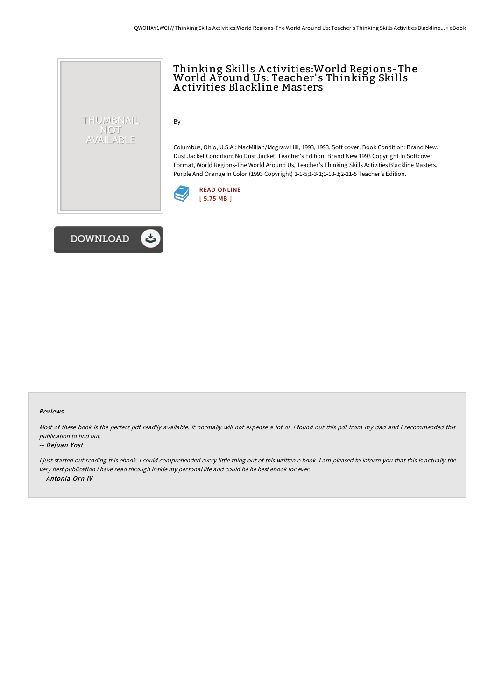# Thinking Skills A ctivities:World Regions-The World A round Us: Teacher' s Thinking Skills A ctivities Blackline Masters

By -

Columbus, Ohio, U.S.A.: MacMillan/Mcgraw Hill, 1993, 1993. Soft cover. Book Condition: Brand New. Dust Jacket Condition: No Dust Jacket. Teacher's Edition. Brand New 1993 Copyright In Softcover Format, World Regions-The World Around Us, Teacher's Thinking Skills Activities Blackline Masters. Purple And Orange In Color (1993 Copyright) 1-1-5;1-3-1;1-13-3;2-11-5 Teacher's Edition.





THUMBNAIL NOT AVAILABLE

### Reviews

Most of these book is the perfect pdf readily available. It normally will not expense <sup>a</sup> lot of. I found out this pdf from my dad and i recommended this publication to find out.

### -- Dejuan Yost

<sup>I</sup> just started out reading this ebook. <sup>I</sup> could comprehended every little thing out of this written <sup>e</sup> book. <sup>I</sup> am pleased to inform you that this is actually the very best publication i have read through inside my personal life and could be he best ebook for ever. -- Antonia Orn IV